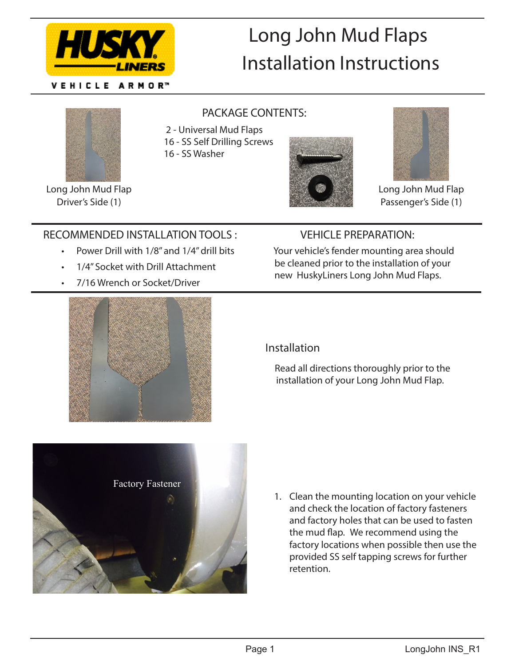

VEHICLE ARMOR™

# Long John Mud Flaps Installation Instructions



Long John Mud Flap Driver's Side (1)

#### PACKAGE CONTENTS:

2 - Universal Mud Flaps

16 - SS Self Drilling Screws

16 - SS Washer





Long John Mud Flap Passenger's Side (1)

### RECOMMENDED INSTALLATION TOOLS :

- Power Drill with 1/8" and 1/4" drill bits
- 1/4" Socket with Drill Attachment
- 7/16 Wrench or Socket/Driver

## VEHICLE PREPARATION:

 Your vehicle's fender mounting area should be cleaned prior to the installation of your new HuskyLiners Long John Mud Flaps.



#### Installation

 Read all directions thoroughly prior to the installation of your Long John Mud Flap.



1. Clean the mounting location on your vehicle and check the location of factory fasteners and factory holes that can be used to fasten the mud flap. We recommend using the factory locations when possible then use the provided SS self tapping screws for further retention.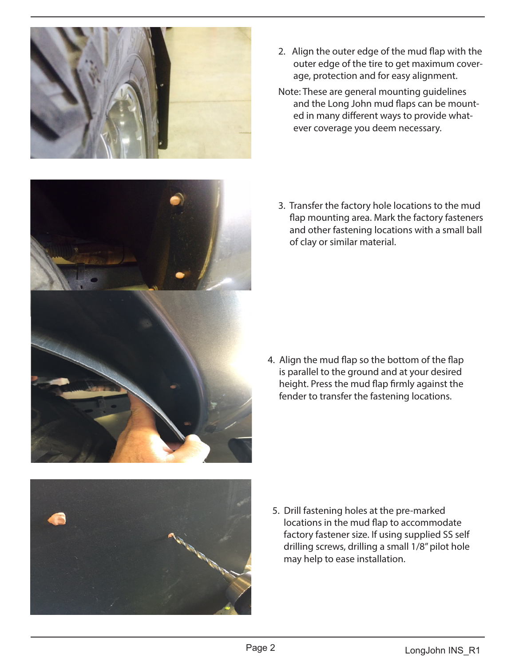

- 2. Align the outer edge of the mud flap with the outer edge of the tire to get maximum coverage, protection and for easy alignment.
- Note: These are general mounting guidelines and the Long John mud flaps can be mounted in many different ways to provide whatever coverage you deem necessary.



3. Transfer the factory hole locations to the mud flap mounting area. Mark the factory fasteners and other fastening locations with a small ball of clay or similar material.

4. Align the mud flap so the bottom of the flap is parallel to the ground and at your desired height. Press the mud flap firmly against the fender to transfer the fastening locations.



5. Drill fastening holes at the pre-marked locations in the mud flap to accommodate factory fastener size. If using supplied SS self drilling screws, drilling a small 1/8" pilot hole may help to ease installation.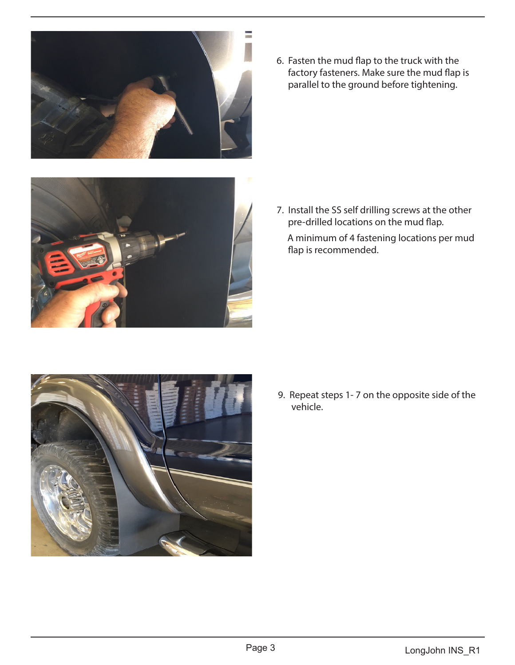

6. Fasten the mud flap to the truck with the factory fasteners. Make sure the mud flap is parallel to the ground before tightening.



7. Install the SS self drilling screws at the other pre-drilled locations on the mud flap.

 A minimum of 4 fastening locations per mud flap is recommended.



 9. Repeat steps 1- 7 on the opposite side of the vehicle.